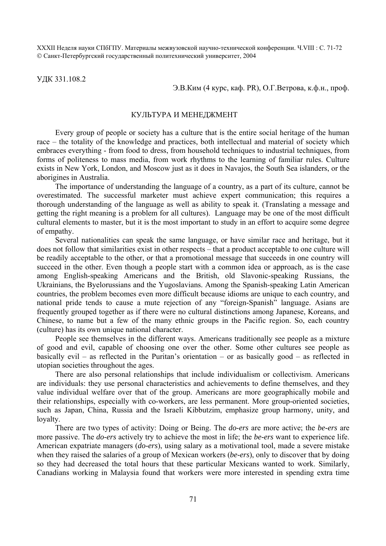XXXII Неделя науки СПбГПУ. Материалы межвузовской научно-технической конференции. Ч.VIII : С. 71-72 © Санкт-Петербургский государственный политехнический университет, 2004

УДК 331.108.2

## Э.В.Ким (4 курс, каф. PR), О.Г.Ветрова, к.ф.н., проф.

## КУЛЬТУРА И МЕНЕДЖМЕНТ

Every group of people or society has a culture that is the entire social heritage of the human race – the totality of the knowledge and practices, both intellectual and material of society which embraces everything - from food to dress, from household techniques to industrial techniques, from forms of politeness to mass media, from work rhythms to the learning of familiar rules. Culture exists in New York, London, and Moscow just as it does in Navajos, the South Sea islanders, or the aborigines in Australia.

The importance of understanding the language of a country, as a part of its culture, cannot be overestimated. The successful marketer must achieve expert communication; this requires a thorough understanding of the language as well as ability to speak it. (Translating a message and getting the right meaning is a problem for all cultures). Language may be one of the most difficult cultural elements to master, but it is the most important to study in an effort to acquire some degree of empathy.

Several nationalities can speak the same language, or have similar race and heritage, but it does not follow that similarities exist in other respects – that a product acceptable to one culture will be readily acceptable to the other, or that a promotional message that succeeds in one country will succeed in the other. Even though a people start with a common idea or approach, as is the case among English-speaking Americans and the British, old Slavonic-speaking Russians, the Ukrainians, the Byelorussians and the Yugoslavians. Among the Spanish-speaking Latin American countries, the problem becomes even more difficult because idioms are unique to each country, and national pride tends to cause a mute rejection of any "foreign-Spanish" language. Asians are frequently grouped together as if there were no cultural distinctions among Japanese, Koreans, and Chinese, to name but a few of the many ethnic groups in the Pacific region. So, each country (culture) has its own unique national character.

People see themselves in the different ways. Americans traditionally see people as a mixture of good and evil, capable of choosing one over the other. Some other cultures see people as basically evil – as reflected in the Puritan's orientation – or as basically good – as reflected in utopian societies throughout the ages.

There are also personal relationships that include individualism or collectivism. Americans are individuals: they use personal characteristics and achievements to define themselves, and they value individual welfare over that of the group. Americans are more geographically mobile and their relationships, especially with co-workers, are less permanent. More group-oriented societies, such as Japan, China, Russia and the Israeli Kibbutzim, emphasize group harmony, unity, and loyalty.

There are two types of activity: Doing or Being. The *do-ers* are more active; the *be-ers* are more passive. The *do-ers* actively try to achieve the most in life; the *be-ers* want to experience life. American expatriate managers (*do-ers*), using salary as a motivational tool, made a severe mistake when they raised the salaries of a group of Mexican workers (*be-ers*), only to discover that by doing so they had decreased the total hours that these particular Mexicans wanted to work. Similarly, Canadians working in Malaysia found that workers were more interested in spending extra time